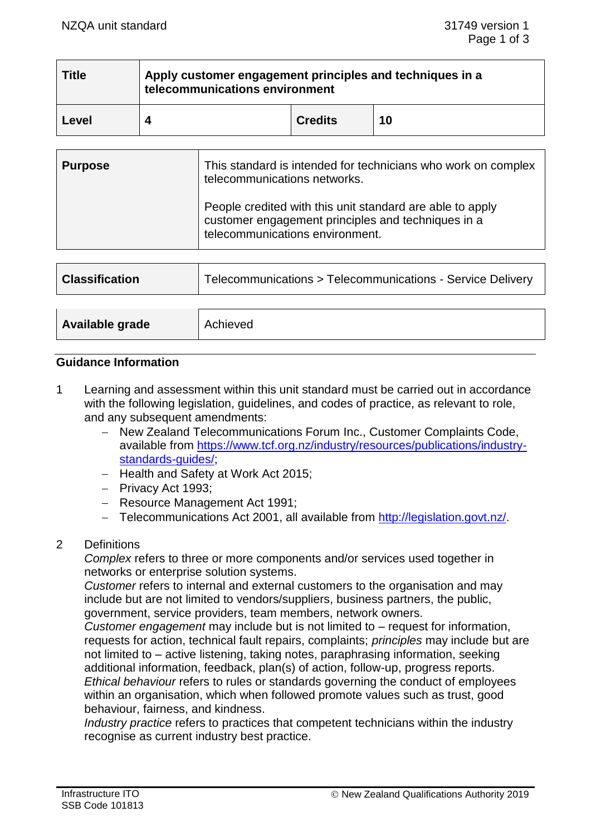| <b>Title</b> | Apply customer engagement principles and techniques in a<br>telecommunications environment |                |    |  |
|--------------|--------------------------------------------------------------------------------------------|----------------|----|--|
| Level        |                                                                                            | <b>Credits</b> | 10 |  |

| <b>Purpose</b> | This standard is intended for technicians who work on complex<br>telecommunications networks.                                                      |
|----------------|----------------------------------------------------------------------------------------------------------------------------------------------------|
|                | People credited with this unit standard are able to apply<br>customer engagement principles and techniques in a<br>telecommunications environment. |

| <b>Classification</b> | Telecommunications > Telecommunications - Service Delivery |  |
|-----------------------|------------------------------------------------------------|--|
| Available grade       | Achieved                                                   |  |

### **Guidance Information**

1 Learning and assessment within this unit standard must be carried out in accordance with the following legislation, guidelines, and codes of practice, as relevant to role, and any subsequent amendments:

- − New Zealand Telecommunications Forum Inc., Customer Complaints Code, available from [https://www.tcf.org.nz/industry/resources/publications/industry](https://www.tcf.org.nz/industry/resources/publications/industry-standards-guides/)[standards-guides/;](https://www.tcf.org.nz/industry/resources/publications/industry-standards-guides/)
- − Health and Safety at Work Act 2015;
- − Privacy Act 1993;
- − Resource Management Act 1991;
- − Telecommunications Act 2001, all available from [http://legislation.govt.nz/.](http://legislation.govt.nz/)
- 2 Definitions

*Complex* refers to three or more components and/or services used together in networks or enterprise solution systems.

*Customer* refers to internal and external customers to the organisation and may include but are not limited to vendors/suppliers, business partners, the public, government, service providers, team members, network owners.

*Customer engagement* may include but is not limited to – request for information, requests for action, technical fault repairs, complaints; *principles* may include but are not limited to – active listening, taking notes, paraphrasing information, seeking additional information, feedback, plan(s) of action, follow-up, progress reports. *Ethical behaviour* refers to rules or standards governing the conduct of employees within an organisation, which when followed promote values such as trust, good behaviour, fairness, and kindness.

*Industry practice* refers to practices that competent technicians within the industry recognise as current industry best practice.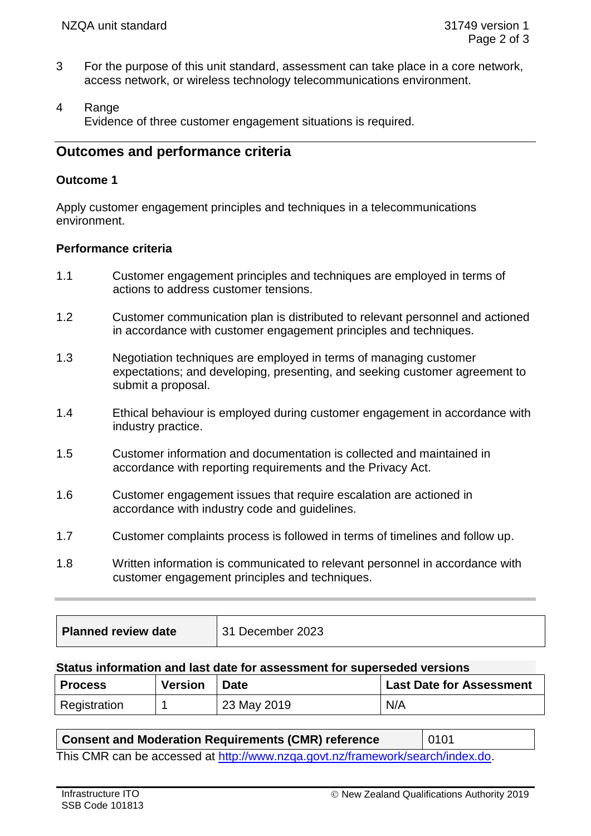- 3 For the purpose of this unit standard, assessment can take place in a core network, access network, or wireless technology telecommunications environment.
- 4 Range Evidence of three customer engagement situations is required.

# **Outcomes and performance criteria**

### **Outcome 1**

Apply customer engagement principles and techniques in a telecommunications environment.

### **Performance criteria**

- 1.1 Customer engagement principles and techniques are employed in terms of actions to address customer tensions.
- 1.2 Customer communication plan is distributed to relevant personnel and actioned in accordance with customer engagement principles and techniques.
- 1.3 Negotiation techniques are employed in terms of managing customer expectations; and developing, presenting, and seeking customer agreement to submit a proposal.
- 1.4 Ethical behaviour is employed during customer engagement in accordance with industry practice.
- 1.5 Customer information and documentation is collected and maintained in accordance with reporting requirements and the Privacy Act.
- 1.6 Customer engagement issues that require escalation are actioned in accordance with industry code and guidelines.
- 1.7 Customer complaints process is followed in terms of timelines and follow up.
- 1.8 Written information is communicated to relevant personnel in accordance with customer engagement principles and techniques.

| <b>Planned review date</b> | 31 December 2023 |
|----------------------------|------------------|
|----------------------------|------------------|

#### **Status information and last date for assessment for superseded versions**

| <b>Process</b> | <b>Version</b> | <b>Date</b> | <b>Last Date for Assessment</b> |
|----------------|----------------|-------------|---------------------------------|
| Registration   |                | 23 May 2019 | N/A                             |

### **Consent and Moderation Requirements (CMR) reference** | 0101

This CMR can be accessed at [http://www.nzqa.govt.nz/framework/search/index.do.](http://www.nzqa.govt.nz/framework/search/index.do)